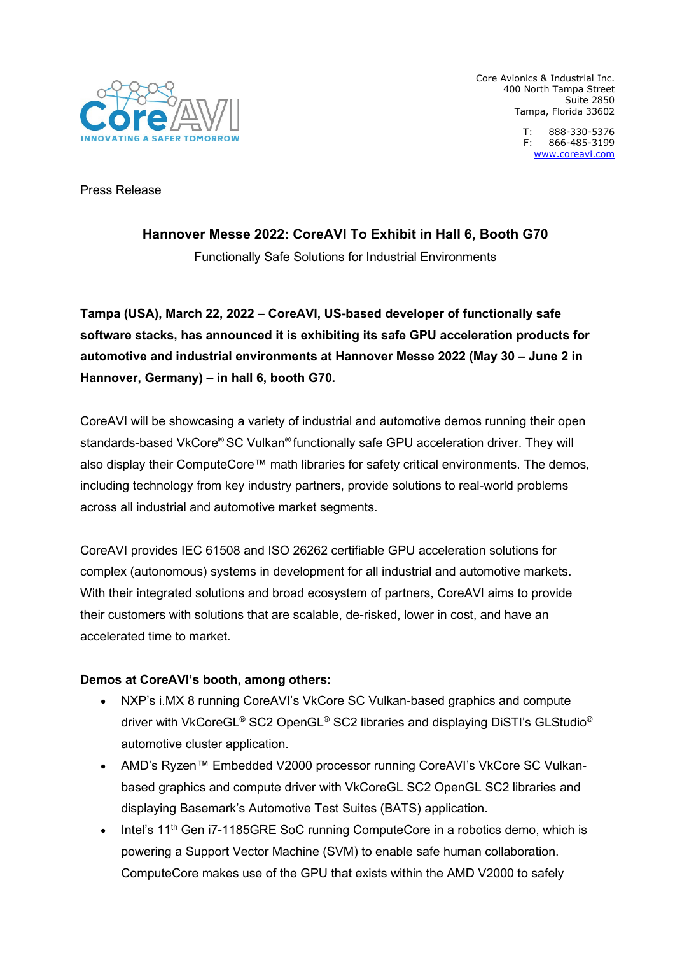

Core Avionics & Industrial Inc. 400 North Tampa Street Suite 2850 Tampa, Florida 33602

> T: 888-330-5376 F: 866-485-3199 [www.coreavi.com](http://www.coreavi.com/)

Press Release

# **Hannover Messe 2022: CoreAVI To Exhibit in Hall 6, Booth G70**

Functionally Safe Solutions for Industrial Environments

**Tampa (USA), March 22, 2022 – CoreAVI, US-based developer of functionally safe software stacks, has announced it is exhibiting its safe GPU acceleration products for automotive and industrial environments at Hannover Messe 2022 (May 30 – June 2 in Hannover, Germany) – in hall 6, booth G70.**

CoreAVI will be showcasing a variety of industrial and automotive demos running their open standards-based VkCore® SC Vulkan® functionally safe GPU acceleration driver. They will also display their ComputeCore™ math libraries for safety critical environments. The demos, including technology from key industry partners, provide solutions to real-world problems across all industrial and automotive market segments.

CoreAVI provides IEC 61508 and ISO 26262 certifiable GPU acceleration solutions for complex (autonomous) systems in development for all industrial and automotive markets. With their integrated solutions and broad ecosystem of partners, CoreAVI aims to provide their customers with solutions that are scalable, de-risked, lower in cost, and have an accelerated time to market.

# **Demos at CoreAVI's booth, among others:**

- NXP's i.MX 8 running CoreAVI's VkCore SC Vulkan-based graphics and compute driver with VkCoreGL® SC2 OpenGL® SC2 libraries and displaying DiSTI's GLStudio® automotive cluster application.
- AMD's Ryzen™ Embedded V2000 processor running CoreAVI's VkCore SC Vulkanbased graphics and compute driver with VkCoreGL SC2 OpenGL SC2 libraries and displaying Basemark's Automotive Test Suites (BATS) application.
- Intel's  $11<sup>th</sup>$  Gen i7-1185GRE SoC running ComputeCore in a robotics demo, which is powering a Support Vector Machine (SVM) to enable safe human collaboration. ComputeCore makes use of the GPU that exists within the AMD V2000 to safely